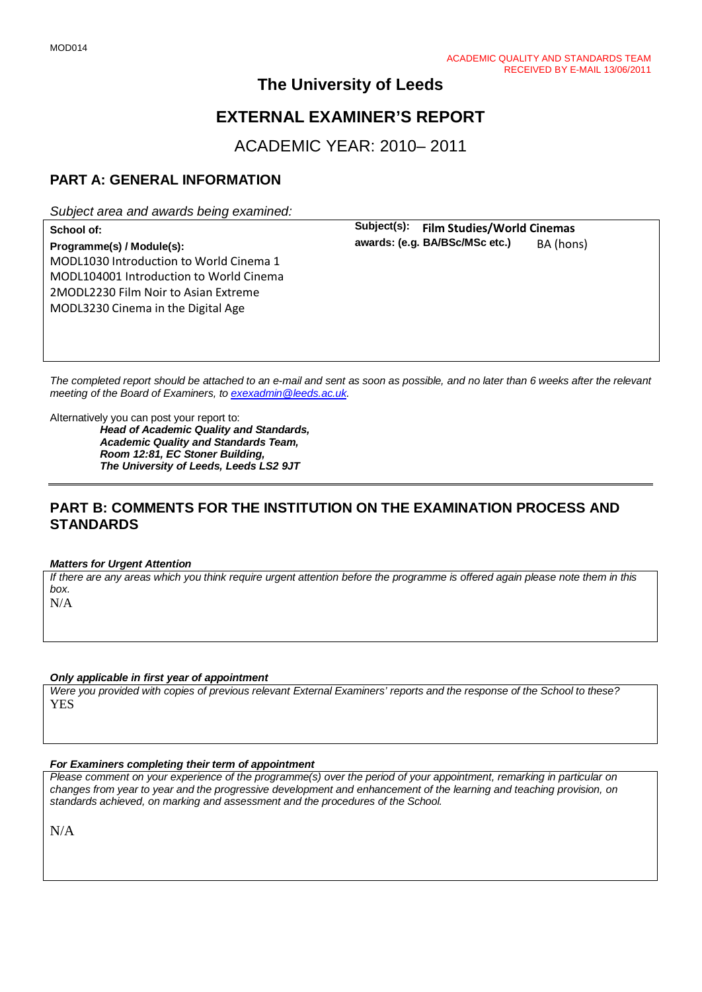# **The University of Leeds**

# **EXTERNAL EXAMINER'S REPORT**

ACADEMIC YEAR: 2010– 2011

## **PART A: GENERAL INFORMATION**

*Subject area and awards being examined:*

**School of: Subject(s): Film Studies/World Cinemas**

**Programme(s) / Module(s): awards: (e.g. BA/BSc/MSc etc.)** BA (hons) MODL1030 Introduction to World Cinema 1 MODL104001 Introduction to World Cinema 2MODL2230 Film Noir to Asian Extreme MODL3230 Cinema in the Digital Age

*The completed report should be attached to an e-mail and sent as soon as possible, and no later than 6 weeks after the relevant meeting of the Board of Examiners, to [exexadmin@leeds.ac.uk.](mailto:exexadmin@leeds.ac.uk)*

Alternatively you can post your report to:

*Head of Academic Quality and Standards, Academic Quality and Standards Team, Room 12:81, EC Stoner Building, The University of Leeds, Leeds LS2 9JT*

### **PART B: COMMENTS FOR THE INSTITUTION ON THE EXAMINATION PROCESS AND STANDARDS**

#### *Matters for Urgent Attention*

*If there are any areas which you think require urgent attention before the programme is offered again please note them in this box.*

N/A

#### *Only applicable in first year of appointment*

*Were you provided with copies of previous relevant External Examiners' reports and the response of the School to these?*  YES

#### *For Examiners completing their term of appointment*

*Please comment on your experience of the programme(s) over the period of your appointment, remarking in particular on changes from year to year and the progressive development and enhancement of the learning and teaching provision, on standards achieved, on marking and assessment and the procedures of the School.* 

N/A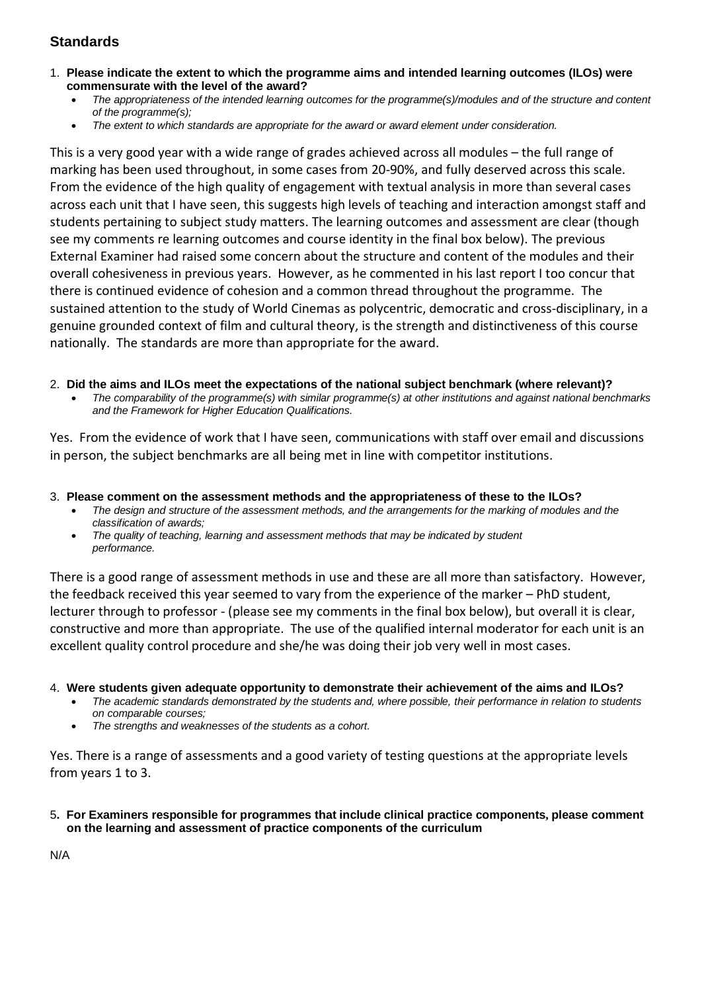## **Standards**

- 1. **Please indicate the extent to which the programme aims and intended learning outcomes (ILOs) were commensurate with the level of the award?**
	- *The appropriateness of the intended learning outcomes for the programme(s)/modules and of the structure and content of the programme(s);*
	- *The extent to which standards are appropriate for the award or award element under consideration.*

This is a very good year with a wide range of grades achieved across all modules – the full range of marking has been used throughout, in some cases from 20-90%, and fully deserved across this scale. From the evidence of the high quality of engagement with textual analysis in more than several cases across each unit that I have seen, this suggests high levels of teaching and interaction amongst staff and students pertaining to subject study matters. The learning outcomes and assessment are clear (though see my comments re learning outcomes and course identity in the final box below). The previous External Examiner had raised some concern about the structure and content of the modules and their overall cohesiveness in previous years. However, as he commented in his last report I too concur that there is continued evidence of cohesion and a common thread throughout the programme. The sustained attention to the study of World Cinemas as polycentric, democratic and cross-disciplinary, in a genuine grounded context of film and cultural theory, is the strength and distinctiveness of this course nationally. The standards are more than appropriate for the award.

- 2. **Did the aims and ILOs meet the expectations of the national subject benchmark (where relevant)?**
	- *The comparability of the programme(s) with similar programme(s) at other institutions and against national benchmarks and the Framework for Higher Education Qualifications.*

Yes. From the evidence of work that I have seen, communications with staff over email and discussions in person, the subject benchmarks are all being met in line with competitor institutions.

- 3. **Please comment on the assessment methods and the appropriateness of these to the ILOs?**
	- *The design and structure of the assessment methods, and the arrangements for the marking of modules and the classification of awards;*
	- *The quality of teaching, learning and assessment methods that may be indicated by student performance.*

There is a good range of assessment methods in use and these are all more than satisfactory. However, the feedback received this year seemed to vary from the experience of the marker – PhD student, lecturer through to professor - (please see my comments in the final box below), but overall it is clear, constructive and more than appropriate. The use of the qualified internal moderator for each unit is an excellent quality control procedure and she/he was doing their job very well in most cases.

- 4. **Were students given adequate opportunity to demonstrate their achievement of the aims and ILOs?**
	- *The academic standards demonstrated by the students and, where possible, their performance in relation to students on comparable courses;*
	- *The strengths and weaknesses of the students as a cohort.*

Yes. There is a range of assessments and a good variety of testing questions at the appropriate levels from years 1 to 3.

5**. For Examiners responsible for programmes that include clinical practice components, please comment on the learning and assessment of practice components of the curriculum**

N/A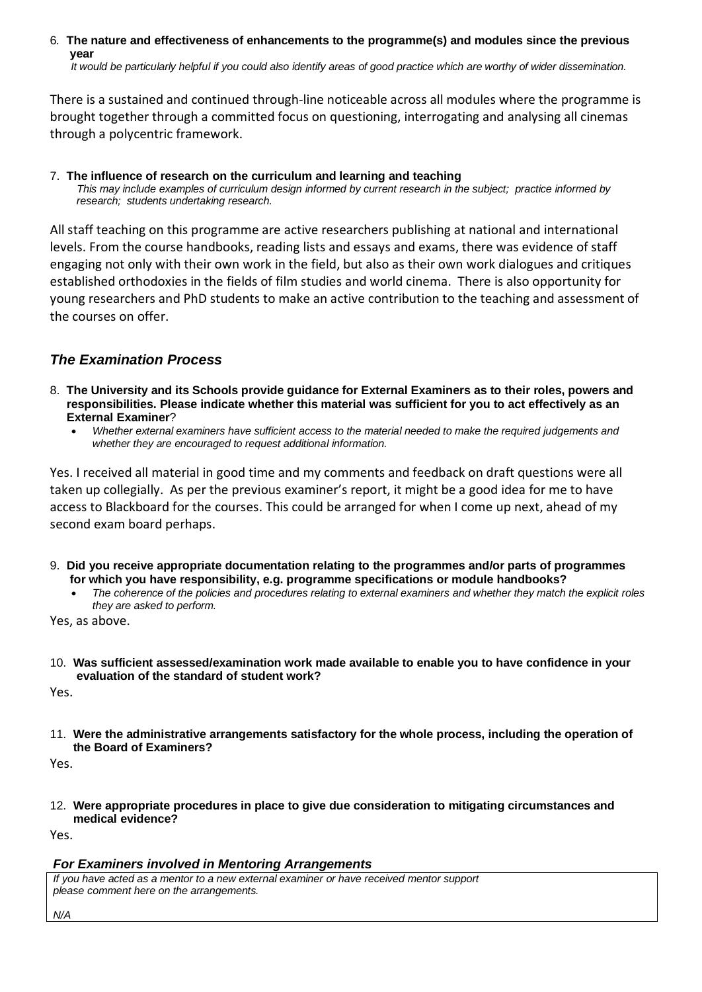6*.* **The nature and effectiveness of enhancements to the programme(s) and modules since the previous year**  *It would be particularly helpful if you could also identify areas of good practice which are worthy of wider dissemination.* 

There is a sustained and continued through-line noticeable across all modules where the programme is brought together through a committed focus on questioning, interrogating and analysing all cinemas through a polycentric framework.

7.**The influence of research on the curriculum and learning and teaching**  *This may include examples of curriculum design informed by current research in the subject; practice informed by research; students undertaking research.* 

All staff teaching on this programme are active researchers publishing at national and international levels. From the course handbooks, reading lists and essays and exams, there was evidence of staff engaging not only with their own work in the field, but also as their own work dialogues and critiques established orthodoxies in the fields of film studies and world cinema. There is also opportunity for young researchers and PhD students to make an active contribution to the teaching and assessment of the courses on offer.

# *The Examination Process*

- 8. **The University and its Schools provide guidance for External Examiners as to their roles, powers and responsibilities. Please indicate whether this material was sufficient for you to act effectively as an External Examiner**?
	- *Whether external examiners have sufficient access to the material needed to make the required judgements and whether they are encouraged to request additional information.*

Yes. I received all material in good time and my comments and feedback on draft questions were all taken up collegially. As per the previous examiner's report, it might be a good idea for me to have access to Blackboard for the courses. This could be arranged for when I come up next, ahead of my second exam board perhaps.

- 9. **Did you receive appropriate documentation relating to the programmes and/or parts of programmes for which you have responsibility, e.g. programme specifications or module handbooks?**
	- *The coherence of the policies and procedures relating to external examiners and whether they match the explicit roles they are asked to perform.*

Yes, as above.

10. **Was sufficient assessed/examination work made available to enable you to have confidence in your evaluation of the standard of student work?**

Yes.

11. **Were the administrative arrangements satisfactory for the whole process, including the operation of the Board of Examiners?**

Yes.

12. **Were appropriate procedures in place to give due consideration to mitigating circumstances and medical evidence?**

Yes.

#### *For Examiners involved in Mentoring Arrangements*

*If you have acted as a mentor to a new external examiner or have received mentor support please comment here on the arrangements.*

*N/A*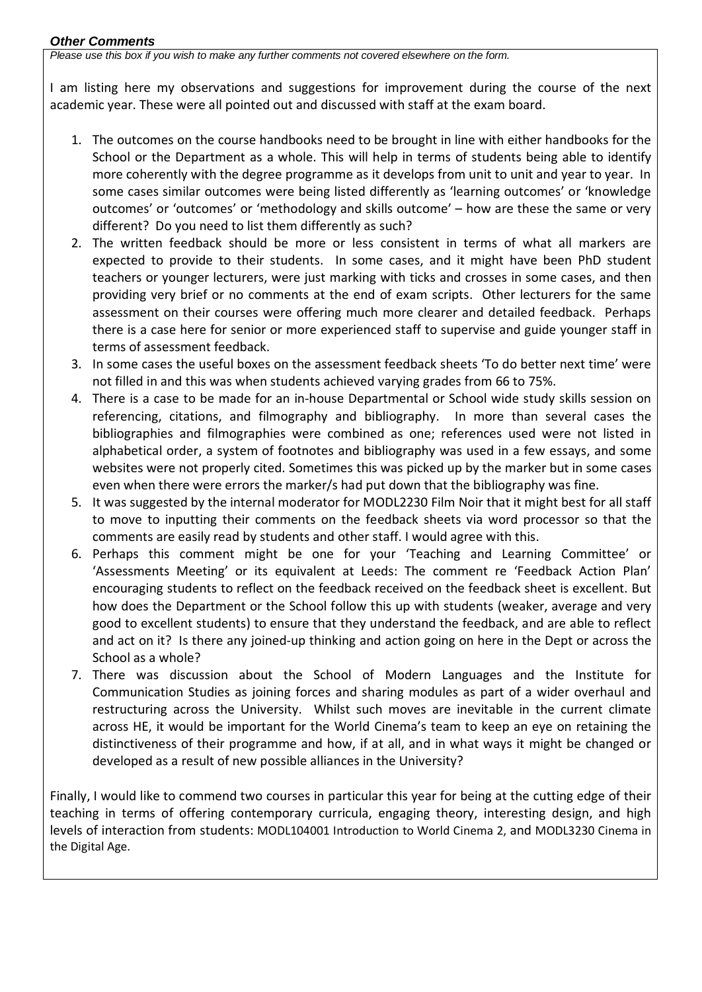#### *Other Comments*

*Please use this box if you wish to make any further comments not covered elsewhere on the form.*

I am listing here my observations and suggestions for improvement during the course of the next academic year. These were all pointed out and discussed with staff at the exam board.

- 1. The outcomes on the course handbooks need to be brought in line with either handbooks for the School or the Department as a whole. This will help in terms of students being able to identify more coherently with the degree programme as it develops from unit to unit and year to year. In some cases similar outcomes were being listed differently as 'learning outcomes' or 'knowledge outcomes' or 'outcomes' or 'methodology and skills outcome' – how are these the same or very different? Do you need to list them differently as such?
- 2. The written feedback should be more or less consistent in terms of what all markers are expected to provide to their students. In some cases, and it might have been PhD student teachers or younger lecturers, were just marking with ticks and crosses in some cases, and then providing very brief or no comments at the end of exam scripts. Other lecturers for the same assessment on their courses were offering much more clearer and detailed feedback. Perhaps there is a case here for senior or more experienced staff to supervise and guide younger staff in terms of assessment feedback.
- 3. In some cases the useful boxes on the assessment feedback sheets 'To do better next time' were not filled in and this was when students achieved varying grades from 66 to 75%.
- 4. There is a case to be made for an in-house Departmental or School wide study skills session on referencing, citations, and filmography and bibliography. In more than several cases the bibliographies and filmographies were combined as one; references used were not listed in alphabetical order, a system of footnotes and bibliography was used in a few essays, and some websites were not properly cited. Sometimes this was picked up by the marker but in some cases even when there were errors the marker/s had put down that the bibliography was fine.
- 5. It was suggested by the internal moderator for MODL2230 Film Noir that it might best for all staff to move to inputting their comments on the feedback sheets via word processor so that the comments are easily read by students and other staff. I would agree with this.
- 6. Perhaps this comment might be one for your 'Teaching and Learning Committee' or 'Assessments Meeting' or its equivalent at Leeds: The comment re 'Feedback Action Plan' encouraging students to reflect on the feedback received on the feedback sheet is excellent. But how does the Department or the School follow this up with students (weaker, average and very good to excellent students) to ensure that they understand the feedback, and are able to reflect and act on it? Is there any joined-up thinking and action going on here in the Dept or across the School as a whole?
- 7. There was discussion about the School of Modern Languages and the Institute for Communication Studies as joining forces and sharing modules as part of a wider overhaul and restructuring across the University. Whilst such moves are inevitable in the current climate across HE, it would be important for the World Cinema's team to keep an eye on retaining the distinctiveness of their programme and how, if at all, and in what ways it might be changed or developed as a result of new possible alliances in the University?

Finally, I would like to commend two courses in particular this year for being at the cutting edge of their teaching in terms of offering contemporary curricula, engaging theory, interesting design, and high levels of interaction from students: MODL104001 Introduction to World Cinema 2, and MODL3230 Cinema in the Digital Age.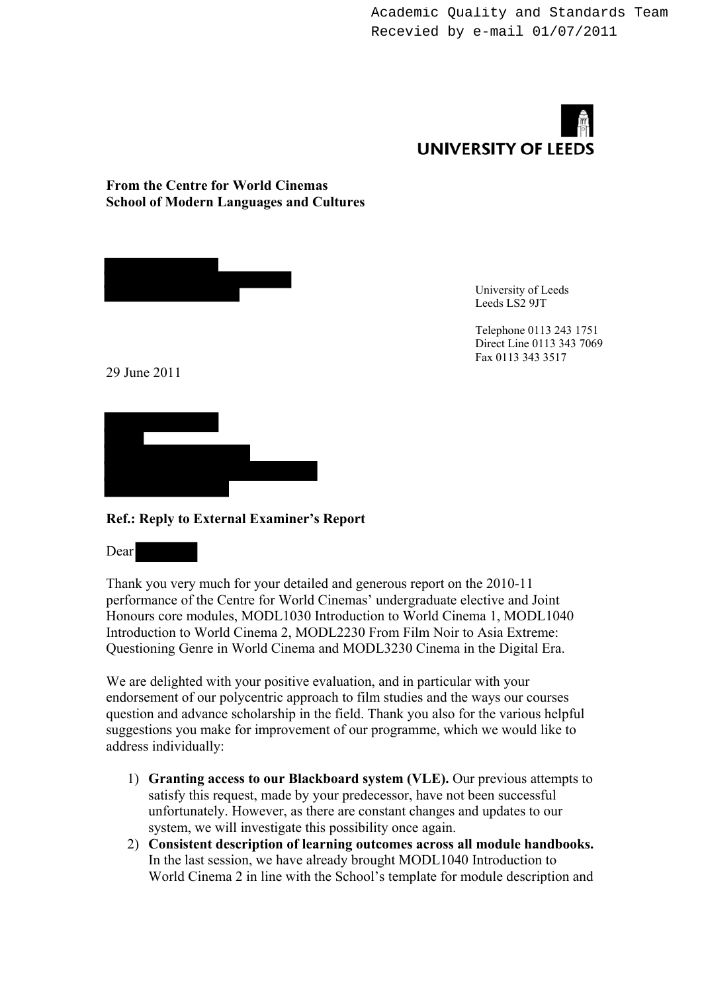# **UNIVERSITY OF LEEDS**

## **From the Centre for World Cinemas School of Modern Languages and Cultures**



University of Leeds Leeds LS2 9JT

Telephone 0113 243 1751 Direct Line 0113 343 7069 Fax 0113 343 3517

**Ref.: Reply to External Examiner's Report** 

Dear

Thank you very much for your detailed and generous report on the 2010-11 performance of the Centre for World Cinemas' undergraduate elective and Joint Honours core modules, MODL1030 Introduction to World Cinema 1, MODL1040 Introduction to World Cinema 2, MODL2230 From Film Noir to Asia Extreme: Questioning Genre in World Cinema and MODL3230 Cinema in the Digital Era.

We are delighted with your positive evaluation, and in particular with your endorsement of our polycentric approach to film studies and the ways our courses question and advance scholarship in the field. Thank you also for the various helpful suggestions you make for improvement of our programme, which we would like to address individually:

- 1) **Granting access to our Blackboard system (VLE).** Our previous attempts to satisfy this request, made by your predecessor, have not been successful unfortunately. However, as there are constant changes and updates to our system, we will investigate this possibility once again.
- 2) **Consistent description of learning outcomes across all module handbooks.**  In the last session, we have already brought MODL1040 Introduction to World Cinema 2 in line with the School's template for module description and